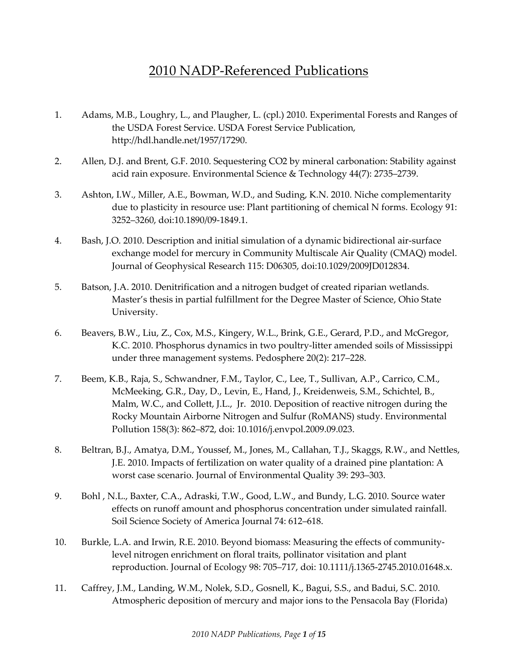## 2010 NADP-Referenced Publications

- 1. Adams, M.B., Loughry, L., and Plaugher, L. (cpl.) 2010. Experimental Forests and Ranges of the USDA Forest Service. USDA Forest Service Publication, http://hdl.handle.net/1957/17290.
- 2. Allen, D.J. and Brent, G.F. 2010. Sequestering CO2 by mineral carbonation: Stability against acid rain exposure. Environmental Science & Technology 44(7): 2735–2739.
- 3. Ashton, I.W., Miller, A.E., Bowman, W.D., and Suding, K.N. 2010. Niche complementarity due to plasticity in resource use: Plant partitioning of chemical N forms. Ecology 91: 3252–3260, doi:10.1890/09-1849.1.
- 4. Bash, J.O. 2010. Description and initial simulation of a dynamic bidirectional air-surface exchange model for mercury in Community Multiscale Air Quality (CMAQ) model. Journal of Geophysical Research 115: D06305, doi:10.1029/2009JD012834.
- 5. Batson, J.A. 2010. Denitrification and a nitrogen budget of created riparian wetlands. Master's thesis in partial fulfillment for the Degree Master of Science, Ohio State University.
- 6. Beavers, B.W., Liu, Z., Cox, M.S., Kingery, W.L., Brink, G.E., Gerard, P.D., and McGregor, K.C. 2010. Phosphorus dynamics in two poultry-litter amended soils of Mississippi under three management systems. Pedosphere 20(2): 217–228.
- 7. Beem, K.B., Raja, S., Schwandner, F.M., Taylor, C., Lee, T., Sullivan, A.P., Carrico, C.M., McMeeking, G.R., Day, D., Levin, E., Hand, J., Kreidenweis, S.M., Schichtel, B., Malm, W.C., and Collett, J.L., Jr. 2010. Deposition of reactive nitrogen during the Rocky Mountain Airborne Nitrogen and Sulfur (RoMANS) study. Environmental Pollution 158(3): 862–872, doi: 10.1016/j.envpol.2009.09.023.
- 8. Beltran, B.J., Amatya, D.M., Youssef, M., Jones, M., Callahan, T.J., Skaggs, R.W., and Nettles, J.E. 2010. Impacts of fertilization on water quality of a drained pine plantation: A worst case scenario. Journal of Environmental Quality 39: 293–303.
- 9. Bohl , N.L., Baxter, C.A., Adraski, T.W., Good, L.W., and Bundy, L.G. 2010. Source water effects on runoff amount and phosphorus concentration under simulated rainfall. Soil Science Society of America Journal 74: 612–618.
- 10. Burkle, L.A. and Irwin, R.E. 2010. Beyond biomass: Measuring the effects of communitylevel nitrogen enrichment on floral traits, pollinator visitation and plant reproduction. Journal of Ecology 98: 705–717, doi: 10.1111/j.1365-2745.2010.01648.x.
- 11. Caffrey, J.M., Landing, W.M., Nolek, S.D., Gosnell, K., Bagui, S.S., and Badui, S.C. 2010. Atmospheric deposition of mercury and major ions to the Pensacola Bay (Florida)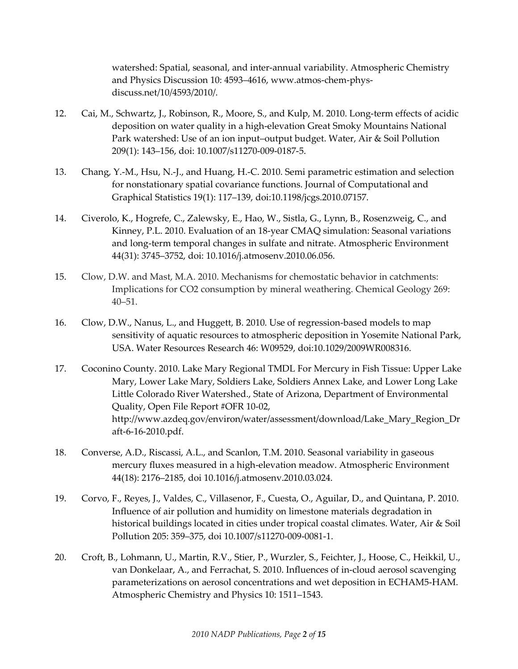watershed: Spatial, seasonal, and inter-annual variability. Atmospheric Chemistry and Physics Discussion 10: 4593–4616, www.atmos-chem-physdiscuss.net/10/4593/2010/.

- 12. Cai, M., Schwartz, J., Robinson, R., Moore, S., and Kulp, M. 2010. Long-term effects of acidic deposition on water quality in a high-elevation Great Smoky Mountains National Park watershed: Use of an ion input–output budget. Water, Air & Soil Pollution 209(1): 143–156, doi: 10.1007/s11270-009-0187-5.
- 13. Chang, Y.-M., Hsu, N.-J., and Huang, H.-C. 2010. Semi parametric estimation and selection for nonstationary spatial covariance functions. Journal of Computational and Graphical Statistics 19(1): 117–139, doi:10.1198/jcgs.2010.07157.
- 14. Civerolo, K., Hogrefe, C., Zalewsky, E., Hao, W., Sistla, G., Lynn, B., Rosenzweig, C., and Kinney, P.L. 2010. Evaluation of an 18-year CMAQ simulation: Seasonal variations and long-term temporal changes in sulfate and nitrate. Atmospheric Environment 44(31): 3745–3752, doi: 10.1016/j.atmosenv.2010.06.056.
- 15. Clow, D.W. and Mast, M.A. 2010. Mechanisms for chemostatic behavior in catchments: Implications for CO2 consumption by mineral weathering. Chemical Geology 269: 40–51.
- 16. Clow, D.W., Nanus, L., and Huggett, B. 2010. Use of regression-based models to map sensitivity of aquatic resources to atmospheric deposition in Yosemite National Park, USA. Water Resources Research 46: W09529, doi:10.1029/2009WR008316.
- 17. Coconino County. 2010. Lake Mary Regional TMDL For Mercury in Fish Tissue: Upper Lake Mary, Lower Lake Mary, Soldiers Lake, Soldiers Annex Lake, and Lower Long Lake Little Colorado River Watershed., State of Arizona, Department of Environmental Quality, Open File Report #OFR 10-02, http://www.azdeq.gov/environ/water/assessment/download/Lake\_Mary\_Region\_Dr aft-6-16-2010.pdf.
- 18. Converse, A.D., Riscassi, A.L., and Scanlon, T.M. 2010. Seasonal variability in gaseous mercury fluxes measured in a high-elevation meadow. Atmospheric Environment 44(18): 2176–2185, doi 10.1016/j.atmosenv.2010.03.024.
- 19. Corvo, F., Reyes, J., Valdes, C., Villasenor, F., Cuesta, O., Aguilar, D., and Quintana, P. 2010. Influence of air pollution and humidity on limestone materials degradation in historical buildings located in cities under tropical coastal climates. Water, Air & Soil Pollution 205: 359–375, doi 10.1007/s11270-009-0081-1.
- 20. Croft, B., Lohmann, U., Martin, R.V., Stier, P., Wurzler, S., Feichter, J., Hoose, C., Heikkil, U., van Donkelaar, A., and Ferrachat, S. 2010. Influences of in-cloud aerosol scavenging parameterizations on aerosol concentrations and wet deposition in ECHAM5-HAM. Atmospheric Chemistry and Physics 10: 1511–1543.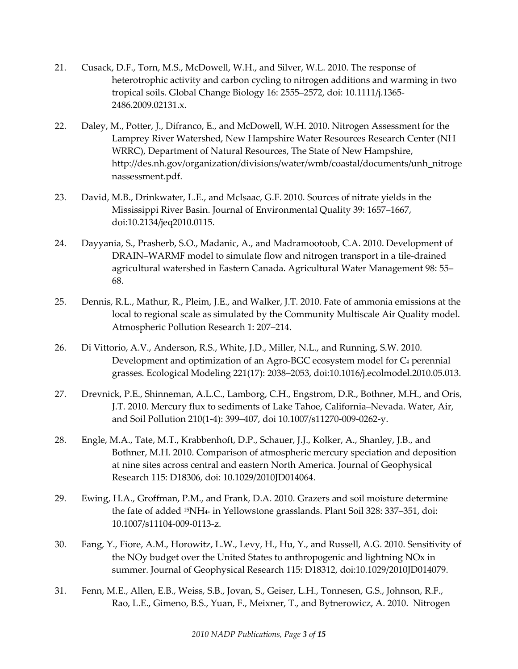- 21. Cusack, D.F., Torn, M.S., McDowell, W.H., and Silver, W.L. 2010. The response of heterotrophic activity and carbon cycling to nitrogen additions and warming in two tropical soils. Global Change Biology 16: 2555–2572, doi: 10.1111/j.1365- 2486.2009.02131.x.
- 22. Daley, M., Potter, J., Difranco, E., and McDowell, W.H. 2010. Nitrogen Assessment for the Lamprey River Watershed, New Hampshire Water Resources Research Center (NH WRRC), Department of Natural Resources, The State of New Hampshire, http://des.nh.gov/organization/divisions/water/wmb/coastal/documents/unh\_nitroge nassessment.pdf.
- 23. David, M.B., Drinkwater, L.E., and McIsaac, G.F. 2010. Sources of nitrate yields in the Mississippi River Basin. Journal of Environmental Quality 39: 1657–1667, doi:10.2134/jeq2010.0115.
- 24. Dayyania, S., Prasherb, S.O., Madanic, A., and Madramootoob, C.A. 2010. Development of DRAIN–WARMF model to simulate flow and nitrogen transport in a tile-drained agricultural watershed in Eastern Canada. Agricultural Water Management 98: 55– 68.
- 25. Dennis, R.L., Mathur, R., Pleim, J.E., and Walker, J.T. 2010. Fate of ammonia emissions at the local to regional scale as simulated by the Community Multiscale Air Quality model. Atmospheric Pollution Research 1: 207–214.
- 26. Di Vittorio, A.V., Anderson, R.S., White, J.D., Miller, N.L., and Running, S.W. 2010. Development and optimization of an Agro-BGC ecosystem model for C4 perennial grasses. Ecological Modeling 221(17): 2038–2053, doi:10.1016/j.ecolmodel.2010.05.013.
- 27. Drevnick, P.E., Shinneman, A.L.C., Lamborg, C.H., Engstrom, D.R., Bothner, M.H., and Oris, J.T. 2010. Mercury flux to sediments of Lake Tahoe, California–Nevada. Water, Air, and Soil Pollution 210(1-4): 399–407, doi 10.1007/s11270-009-0262-y.
- 28. Engle, M.A., Tate, M.T., Krabbenhoft, D.P., Schauer, J.J., Kolker, A., Shanley, J.B., and Bothner, M.H. 2010. Comparison of atmospheric mercury speciation and deposition at nine sites across central and eastern North America. Journal of Geophysical Research 115: D18306, doi: 10.1029/2010JD014064.
- 29. Ewing, H.A., Groffman, P.M., and Frank, D.A. 2010. Grazers and soil moisture determine the fate of added 15NH4+ in Yellowstone grasslands. Plant Soil 328: 337–351, doi: 10.1007/s11104-009-0113-z.
- 30. Fang, Y., Fiore, A.M., Horowitz, L.W., Levy, H., Hu, Y., and Russell, A.G. 2010. Sensitivity of the NOy budget over the United States to anthropogenic and lightning NOx in summer. Journal of Geophysical Research 115: D18312, doi:10.1029/2010JD014079.
- 31. Fenn, M.E., Allen, E.B., Weiss, S.B., Jovan, S., Geiser, L.H., Tonnesen, G.S., Johnson, R.F., Rao, L.E., Gimeno, B.S., Yuan, F., Meixner, T., and Bytnerowicz, A. 2010. Nitrogen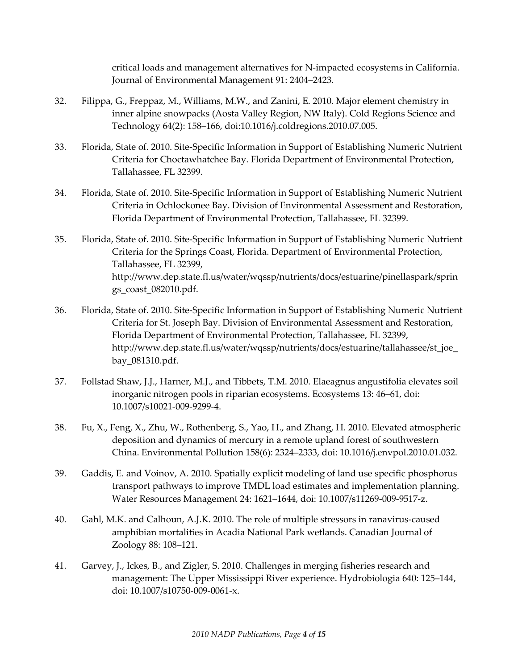critical loads and management alternatives for N-impacted ecosystems in California. Journal of Environmental Management 91: 2404–2423.

- 32. Filippa, G., Freppaz, M., Williams, M.W., and Zanini, E. 2010. Major element chemistry in inner alpine snowpacks (Aosta Valley Region, NW Italy). Cold Regions Science and Technology 64(2): 158–166, doi:10.1016/j.coldregions.2010.07.005.
- 33. Florida, State of. 2010. Site-Specific Information in Support of Establishing Numeric Nutrient Criteria for Choctawhatchee Bay. Florida Department of Environmental Protection, Tallahassee, FL 32399.
- 34. Florida, State of. 2010. Site-Specific Information in Support of Establishing Numeric Nutrient Criteria in Ochlockonee Bay. Division of Environmental Assessment and Restoration, Florida Department of Environmental Protection, Tallahassee, FL 32399.
- 35. Florida, State of. 2010. Site-Specific Information in Support of Establishing Numeric Nutrient Criteria for the Springs Coast, Florida. Department of Environmental Protection, Tallahassee, FL 32399, http://www.dep.state.fl.us/water/wqssp/nutrients/docs/estuarine/pinellaspark/sprin gs\_coast\_082010.pdf.
- 36. Florida, State of. 2010. Site-Specific Information in Support of Establishing Numeric Nutrient Criteria for St. Joseph Bay. Division of Environmental Assessment and Restoration, Florida Department of Environmental Protection, Tallahassee, FL 32399, http://www.dep.state.fl.us/water/wqssp/nutrients/docs/estuarine/tallahassee/st\_joe\_ bay\_081310.pdf.
- 37. Follstad Shaw, J.J., Harner, M.J., and Tibbets, T.M. 2010. Elaeagnus angustifolia elevates soil inorganic nitrogen pools in riparian ecosystems. Ecosystems 13: 46–61, doi: 10.1007/s10021-009-9299-4.
- 38. Fu, X., Feng, X., Zhu, W., Rothenberg, S., Yao, H., and Zhang, H. 2010. Elevated atmospheric deposition and dynamics of mercury in a remote upland forest of southwestern China. Environmental Pollution 158(6): 2324–2333, doi: 10.1016/j.envpol.2010.01.032.
- 39. Gaddis, E. and Voinov, A. 2010. Spatially explicit modeling of land use specific phosphorus transport pathways to improve TMDL load estimates and implementation planning. Water Resources Management 24: 1621–1644, doi: 10.1007/s11269-009-9517-z.
- 40. Gahl, M.K. and Calhoun, A.J.K. 2010. The role of multiple stressors in ranavirus-caused amphibian mortalities in Acadia National Park wetlands. [Canadian Journal of](http://ilurbana.library.ingentaconnect.com/content/nrc/cjz)  [Zoology](http://ilurbana.library.ingentaconnect.com/content/nrc/cjz) 88: 108–121.
- 41. Garvey, J., Ickes, B., and Zigler, S. 2010. Challenges in merging fisheries research and management: The Upper Mississippi River experience. Hydrobiologia 640: 125–144, doi: 10.1007/s10750-009-0061-x.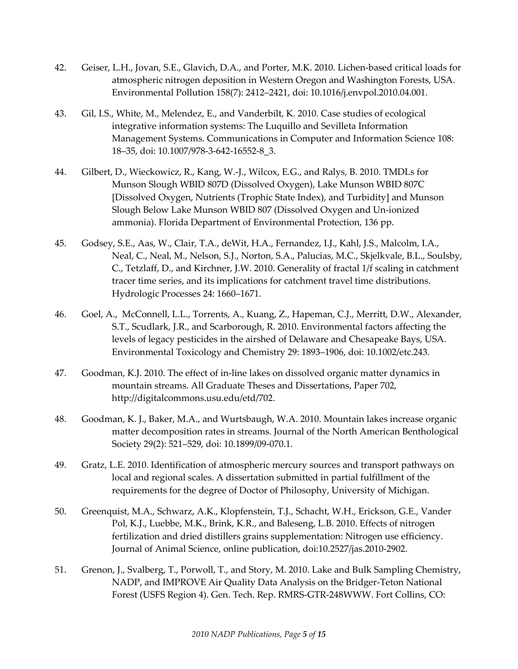- 42. Geiser, L.H., Jovan, S.E., Glavich, D.A., and Porter, M.K. 2010. Lichen-based critical loads for atmospheric nitrogen deposition in Western Oregon and Washington Forests, USA. Environmental Pollution 158(7): 2412–2421, doi: 10.1016/j.envpol.2010.04.001.
- 43. Gil, I.S., White, M., Melendez, E., and Vanderbilt, K. 2010. Case studies of ecological integrative information systems: The Luquillo and Sevilleta Information Management Systems. [Communications](http://www.springerlink.com/content/1865-0929/) in Computer and Information Science 108: 18–35, doi: 10.1007/978-3-642-16552-8\_3.
- 44. Gilbert, D., Wieckowicz, R., Kang, W.-J., Wilcox, E.G., and Ralys, B. 2010. TMDLs for Munson Slough WBID 807D (Dissolved Oxygen), Lake Munson WBID 807C [Dissolved Oxygen, Nutrients (Trophic State Index), and Turbidity] and Munson Slough Below Lake Munson WBID 807 (Dissolved Oxygen and Un-ionized ammonia). Florida Department of Environmental Protection, 136 pp.
- 45. Godsey, S.E., Aas, W., Clair, T.A., deWit, H.A., Fernandez, I.J., Kahl, J.S., Malcolm, I.A., Neal, C., Neal, M., Nelson, S.J., Norton, S.A., Palucias, M.C., Skjelkvale, B.L., Soulsby, C., Tetzlaff, D., and Kirchner, J.W. 2010. Generality of fractal 1/f scaling in catchment tracer time series, and its implications for catchment travel time distributions. Hydrologic Processes 24: 1660–1671.
- 46. Goel, A., McConnell, L.L., Torrents, A., Kuang, Z., Hapeman, C.J., Merritt, D.W., Alexander, S.T., Scudlark, J.R., and Scarborough, R. 2010. Environmental factors affecting the levels of legacy pesticides in the airshed of Delaware and Chesapeake Bays, USA. Environmental Toxicology and Chemistry 29: 1893–1906, doi: 10.1002/etc.243.
- 47. Goodman, K.J. 2010. The effect of in-line lakes on dissolved organic matter dynamics in mountain streams. All Graduate Theses and Dissertations, Paper 702, [http://digitalcommons.usu.edu/etd/702.](http://digitalcommons.usu.edu/etd/702)
- 48. Goodman, K. J., Baker, M.A., and Wurtsbaugh, W.A. 2010. Mountain lakes increase organic matter decomposition rates in streams. Journal of the North American Benthological Society 29(2): 521–529, doi: 10.1899/09-070.1.
- 49. Gratz, L.E. 2010. Identification of atmospheric mercury sources and transport pathways on local and regional scales. A dissertation submitted in partial fulfillment of the requirements for the degree of Doctor of Philosophy, University of Michigan.
- 50. Greenquist, M.A., Schwarz, A.K., Klopfenstein, T.J., Schacht, W.H., Erickson, G.E., Vander Pol, K.J., Luebbe, M.K., Brink, K.R., and Baleseng, L.B. 2010. Effects of nitrogen fertilization and dried distillers grains supplementation: Nitrogen use efficiency. Journal of Animal Science, online publication, doi:10.2527/jas.2010-2902.
- 51. Grenon, J., Svalberg, T., Porwoll, T., and Story, M. 2010. Lake and Bulk Sampling Chemistry, NADP, and IMPROVE Air Quality Data Analysis on the Bridger-Teton National Forest (USFS Region 4). Gen. Tech. Rep. RMRS-GTR-248WWW. Fort Collins, CO: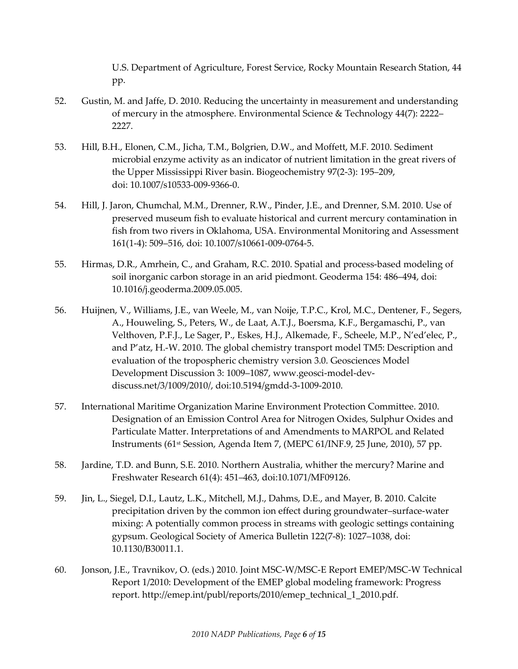U.S. Department of Agriculture, Forest Service, Rocky Mountain Research Station, 44 pp.

- 52. Gustin, M. and Jaffe, D. 2010. Reducing the uncertainty in measurement and understanding of mercury in the atmosphere. Environmental Science & Technology 44(7): 2222– 2227.
- 53. Hill, B.H., Elonen, C.M., Jicha, T.M., Bolgrien, D.W., and Moffett, M.F. 2010. Sediment microbial enzyme activity as an indicator of nutrient limitation in the great rivers of the Upper Mississippi River basin. Biogeochemistry 97(2-3): 195–209, doi: 10.1007/s10533-009-9366-0.
- 54. Hill, J. Jaron, Chumchal, M.M., Drenner, R.W., Pinder, J.E., and Drenner, S.M. 2010. Use of preserved museum fish to evaluate historical and current mercury contamination in fish from two rivers in Oklahoma, USA. Environmental Monitoring and Assessment 161(1-4): 509–516, doi: 10.1007/s10661-009-0764-5.
- 55. Hirmas, D.R., Amrhein, C., and Graham, R.C. 2010. Spatial and process-based modeling of soil inorganic carbon storage in an arid piedmont. Geoderma 154: 486–494, doi: 10.1016/j.geoderma.2009.05.005.
- 56. Huijnen, V., Williams, J.E., van Weele, M., van Noije, T.P.C., Krol, M.C., Dentener, F., Segers, A., Houweling, S., Peters, W., de Laat, A.T.J., Boersma, K.F., Bergamaschi, P., van Velthoven, P.F.J., Le Sager, P., Eskes, H.J., Alkemade, F., Scheele, M.P., N'ed'elec, P., and P'atz, H.-W. 2010. The global chemistry transport model TM5: Description and evaluation of the tropospheric chemistry version 3.0. Geosciences Model Development Discussion 3: 1009–1087, www.geosci-model-devdiscuss.net/3/1009/2010/, doi:10.5194/gmdd-3-1009-2010.
- 57. International Maritime Organization Marine Environment Protection Committee. 2010. Designation of an Emission Control Area for Nitrogen Oxides, Sulphur Oxides and Particulate Matter. Interpretations of and Amendments to MARPOL and Related Instruments (61st Session, Agenda Item 7, (MEPC 61/INF.9, 25 June, 2010), 57 pp.
- 58. Jardine, T.D. and Bunn, S.E. 2010. Northern Australia, whither the mercury? Marine and Freshwater Research 61(4): 451–463, doi:10.1071/MF09126.
- 59. Jin, L., Siegel, D.I., Lautz, L.K., Mitchell, M.J., Dahms, D.E., and Mayer, B. 2010. Calcite precipitation driven by the common ion effect during groundwater–surface-water mixing: A potentially common process in streams with geologic settings containing gypsum. Geological Society of America Bulletin 122(7-8): 1027–1038, doi: 10.1130/B30011.1.
- 60. Jonson, J.E., Travnikov, O. (eds.) 2010. Joint MSC-W/MSC-E Report EMEP/MSC-W Technical Report 1/2010: Development of the EMEP global modeling framework: Progress report. http://emep.int/publ/reports/2010/emep\_technical\_1\_2010.pdf.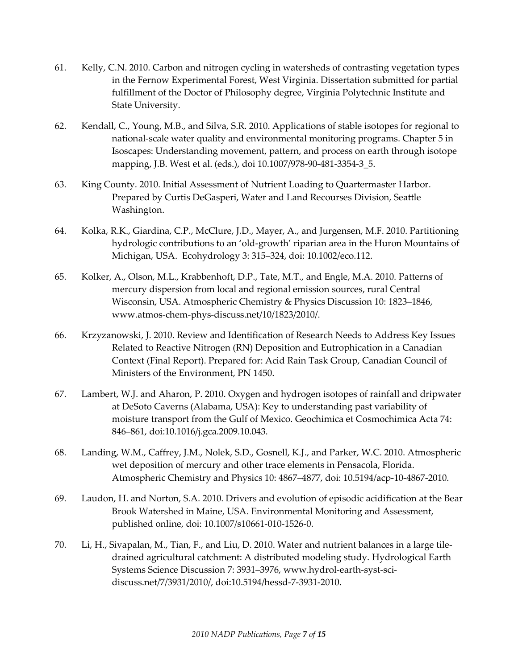- 61. Kelly, C.N. 2010. Carbon and nitrogen cycling in watersheds of contrasting vegetation types in the Fernow Experimental Forest, West Virginia. Dissertation submitted for partial fulfillment of the Doctor of Philosophy degree, Virginia Polytechnic Institute and State University.
- 62. Kendall, C., Young, M.B., and Silva, S.R. 2010. Applications of stable isotopes for regional to national-scale water quality and environmental monitoring programs. Chapter 5 in Isoscapes: Understanding movement, pattern, and process on earth through isotope mapping, J.B. West et al. (eds.), doi 10.1007/978-90-481-3354-3\_5.
- 63. King County. 2010. Initial Assessment of Nutrient Loading to Quartermaster Harbor. Prepared by Curtis DeGasperi, Water and Land Recourses Division, Seattle Washington.
- 64. Kolka, R.K., Giardina, C.P., McClure, J.D., Mayer, A., and Jurgensen, M.F. 2010. Partitioning hydrologic contributions to an 'old-growth' riparian area in the Huron Mountains of Michigan, USA. Ecohydrology 3: 315–324, doi: 10.1002/eco.112.
- 65. Kolker, A., Olson, M.L., Krabbenhoft, D.P., Tate, M.T., and Engle, M.A. 2010. Patterns of mercury dispersion from local and regional emission sources, rural Central Wisconsin, USA. Atmospheric Chemistry & Physics Discussion 10: 1823–1846, www.atmos-chem-phys-discuss.net/10/1823/2010/.
- 66. Krzyzanowski, J. 2010. Review and Identification of Research Needs to Address Key Issues Related to Reactive Nitrogen (RN) Deposition and Eutrophication in a Canadian Context (Final Report). Prepared for: Acid Rain Task Group, Canadian Council of Ministers of the Environment, PN 1450.
- 67. Lambert, W.J. and Aharon, P. 2010. Oxygen and hydrogen isotopes of rainfall and dripwater at DeSoto Caverns (Alabama, USA): Key to understanding past variability of moisture transport from the Gulf of Mexico. Geochimica et Cosmochimica Acta 74: 846–861, doi:10.1016/j.gca.2009.10.043.
- 68. Landing, W.M., Caffrey, J.M., Nolek, S.D., Gosnell, K.J., and Parker, W.C. 2010. Atmospheric wet deposition of mercury and other trace elements in Pensacola, Florida. Atmospheric Chemistry and Physics 10: 4867–4877, doi: 10.5194/acp-10-4867-2010.
- 69. Laudon, H. and Norton, S.A. 2010. Drivers and evolution of episodic acidification at the Bear Brook Watershed in Maine, USA. Environmental Monitoring and Assessment, published online, doi: 10.1007/s10661-010-1526-0.
- 70. Li, H., Sivapalan, M., Tian, F., and Liu, D. 2010. Water and nutrient balances in a large tiledrained agricultural catchment: A distributed modeling study. Hydrological Earth Systems Science Discussion 7: 3931–3976, www.hydrol-earth-syst-scidiscuss.net/7/3931/2010/, doi:10.5194/hessd-7-3931-2010.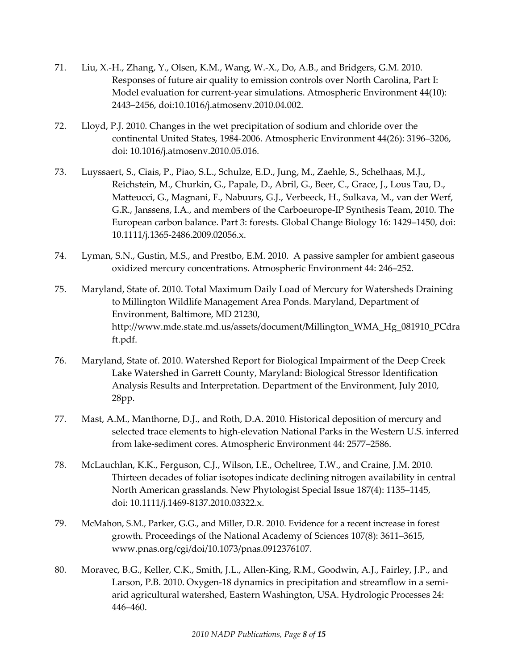- 71. Liu, X.-H., Zhang, Y., Olsen, K.M., Wang, W.-X., Do, A.B., and Bridgers, G.M. 2010. Responses of future air quality to emission controls over North Carolina, Part I: Model evaluation for current-year simulations. Atmospheric Environment 44(10): 2443–2456, doi:10.1016/j.atmosenv.2010.04.002.
- 72. Lloyd, P.J. 2010. Changes in the wet precipitation of sodium and chloride over the continental United States, 1984-2006. Atmospheric Environment 44(26): 3196–3206, doi: 10.1016/j.atmosenv.2010.05.016.
- 73. Luyssaert, S., Ciais, P., Piao, S.L., Schulze, E.D., Jung, M., Zaehle, S., Schelhaas, M.J., Reichstein, M., Churkin, G., Papale, D., Abril, G., Beer, C., Grace, J., Lous Tau, D., Matteucci, G., Magnani, F., Nabuurs, G.J., Verbeeck, H., Sulkava, M., van der Werf, G.R., Janssens, I.A., and members of the Carboeurope-IP Synthesis Team, 2010. The European carbon balance. Part 3: forests. Global Change Biology 16: 1429–1450, doi: 10.1111/j.1365-2486.2009.02056.x.
- 74. Lyman, S.N., Gustin, M.S., and Prestbo, E.M. 2010. A passive sampler for ambient gaseous oxidized mercury concentrations. Atmospheric Environment 44: 246–252.
- 75. Maryland, State of. 2010. Total Maximum Daily Load of Mercury for Watersheds Draining to Millington Wildlife Management Area Ponds. Maryland, Department of Environment, Baltimore, MD 21230, http://www.mde.state.md.us/assets/document/Millington\_WMA\_Hg\_081910\_PCdra ft.pdf.
- 76. Maryland, State of. 2010. Watershed Report for Biological Impairment of the Deep Creek Lake Watershed in Garrett County, Maryland: Biological Stressor Identification Analysis Results and Interpretation. Department of the Environment, July 2010, 28pp.
- 77. Mast, A.M., Manthorne, D.J., and Roth, D.A. 2010. Historical deposition of mercury and selected trace elements to high-elevation National Parks in the Western U.S. inferred from lake-sediment cores. Atmospheric Environment 44: 2577–2586.
- 78. McLauchlan, K.K., Ferguson, C.J., Wilson, I.E., Ocheltree, T.W., and Craine, J.M. 2010. Thirteen decades of foliar isotopes indicate declining nitrogen availability in central North American grasslands. New Phytologist Special Issue 187(4): 1135–1145, doi: 10.1111/j.1469-8137.2010.03322.x.
- 79. McMahon, S.M., Parker, G.G., and Miller, D.R. 2010. Evidence for a recent increase in forest growth. Proceedings of the National Academy of Sciences 107(8): 3611–3615, www.pnas.org/cgi/doi/10.1073/pnas.0912376107.
- 80. Moravec, B.G., Keller, C.K., Smith, J.L., Allen-King, R.M., Goodwin, A.J., Fairley, J.P., and Larson, P.B. 2010. Oxygen-18 dynamics in precipitation and streamflow in a semiarid agricultural watershed, Eastern Washington, USA. Hydrologic Processes 24: 446–460.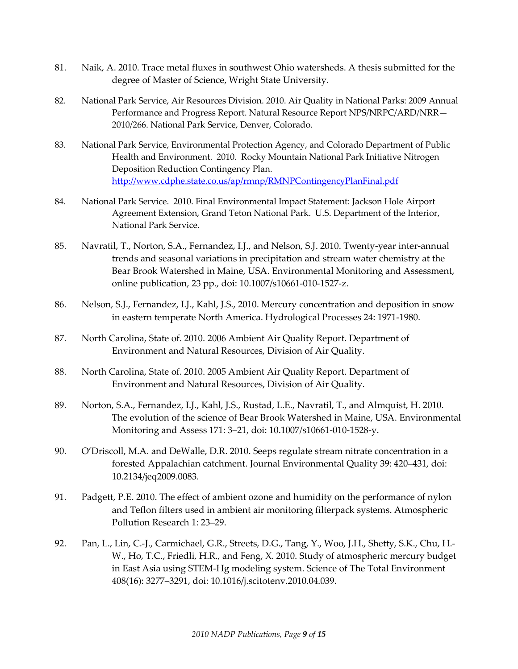- 81. Naik, A. 2010. Trace metal fluxes in southwest Ohio watersheds. A thesis submitted for the degree of Master of Science, Wright State University.
- 82. National Park Service, Air Resources Division. 2010. Air Quality in National Parks: 2009 Annual Performance and Progress Report. Natural Resource Report NPS/NRPC/ARD/NRR— 2010/266. National Park Service, Denver, Colorado.
- 83. National Park Service, Environmental Protection Agency, and Colorado Department of Public Health and Environment. 2010. Rocky Mountain National Park Initiative Nitrogen Deposition Reduction Contingency Plan. <http://www.cdphe.state.co.us/ap/rmnp/RMNPContingencyPlanFinal.pdf>
- 84. National Park Service. 2010. Final Environmental Impact Statement: Jackson Hole Airport Agreement Extension, Grand Teton National Park. U.S. Department of the Interior, National Park Service.
- 85. Navratil, T., Norton, S.A., Fernandez, I.J., and Nelson, S.J. 2010. Twenty-year inter-annual trends and seasonal variations in precipitation and stream water chemistry at the Bear Brook Watershed in Maine, USA. Environmental Monitoring and Assessment, online publication, 23 pp., doi: 10.1007/s10661-010-1527-z.
- 86. Nelson, S.J., Fernandez, I.J., Kahl, J.S., 2010. Mercury concentration and deposition in snow in eastern temperate North America. Hydrological Processes 24: 1971-1980.
- 87. North Carolina, State of. 2010. 2006 Ambient Air Quality Report. Department of Environment and Natural Resources, Division of Air Quality.
- 88. North Carolina, State of. 2010. 2005 Ambient Air Quality Report. Department of Environment and Natural Resources, Division of Air Quality.
- 89. Norton, S.A., Fernandez, I.J., Kahl, J.S., Rustad, L.E., Navratil, T., and Almquist, H. 2010. The evolution of the science of Bear Brook Watershed in Maine, USA. Environmental Monitoring and Assess 171: 3–21, doi: 10.1007/s10661-010-1528-y.
- 90. O'Driscoll, M.A. and DeWalle, D.R. 2010. Seeps regulate stream nitrate concentration in a forested Appalachian catchment. Journal Environmental Quality 39: 420–431, doi: 10.2134/jeq2009.0083.
- 91. Padgett, P.E. 2010. The effect of ambient ozone and humidity on the performance of nylon and Teflon filters used in ambient air monitoring filterpack systems. Atmospheric Pollution Research 1: 23–29.
- 92. Pan, L., Lin, C.-J., Carmichael, G.R., Streets, D.G., Tang, Y., Woo, J.H., Shetty, S.K., Chu, H.- W., Ho, T.C., Friedli, H.R., and Feng, X. 2010. Study of atmospheric mercury budget in East Asia using STEM-Hg modeling system. Science of The Total Environment 408(16): 3277–3291, doi: 10.1016/j.scitotenv.2010.04.039.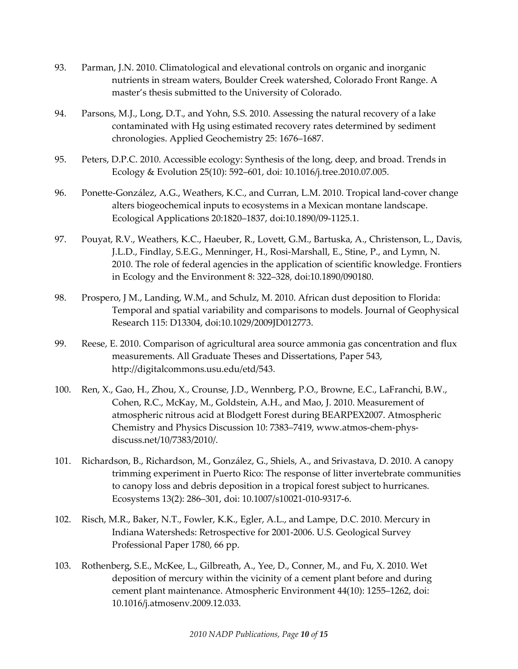- 93. Parman, J.N. 2010. Climatological and elevational controls on organic and inorganic nutrients in stream waters, Boulder Creek watershed, Colorado Front Range. A master's thesis submitted to the University of Colorado.
- 94. Parsons, M.J., Long, D.T., and Yohn, S.S. 2010. Assessing the natural recovery of a lake contaminated with Hg using estimated recovery rates determined by sediment chronologies. Applied Geochemistry 25: 1676–1687.
- 95. Peters, D.P.C. 2010. Accessible ecology: Synthesis of the long, deep, and broad. Trends in Ecology & Evolution 25(10): 592–601, doi: 10.1016/j.tree.2010.07.005.
- 96. Ponette-González, A.G., Weathers, K.C., and Curran, L.M. 2010. Tropical land-cover change alters biogeochemical inputs to ecosystems in a Mexican montane landscape. Ecological Applications 20:1820–1837, doi:10.1890/09-1125.1.
- 97. Pouyat, R.V., Weathers, K.C., Haeuber, R., Lovett, G.M., Bartuska, A., Christenson, L., Davis, J.L.D., Findlay, S.E.G., Menninger, H., Rosi-Marshall, E., Stine, P., and Lymn, N. 2010. The role of federal agencies in the application of scientific knowledge. Frontiers in Ecology and the Environment 8: 322–328, doi:10.1890/090180.
- 98. Prospero, J M., Landing, W.M., and Schulz, M. 2010. African dust deposition to Florida: Temporal and spatial variability and comparisons to models. Journal of Geophysical Research 115: D13304, doi:10.1029/2009JD012773.
- 99. Reese, E. 2010. Comparison of agricultural area source ammonia gas concentration and flux measurements. All Graduate Theses and Dissertations, Paper 543, <http://digitalcommons.usu.edu/etd/543>.
- 100. Ren, X., Gao, H., Zhou, X., Crounse, J.D., Wennberg, P.O., Browne, E.C., LaFranchi, B.W., Cohen, R.C., McKay, M., Goldstein, A.H., and Mao, J. 2010. Measurement of atmospheric nitrous acid at Blodgett Forest during BEARPEX2007. Atmospheric Chemistry and Physics Discussion 10: 7383–7419, www.atmos-chem-physdiscuss.net/10/7383/2010/.
- 101. Richardson, B., Richardson, M., González, G., Shiels, A., and Srivastava, D. 2010. A canopy trimming experiment in Puerto Rico: The response of litter invertebrate communities to canopy loss and debris deposition in a tropical forest subject to hurricanes. Ecosystems 13(2): 286–301, doi: 10.1007/s10021-010-9317-6.
- 102. Risch, M.R., Baker, N.T., Fowler, K.K., Egler, A.L., and Lampe, D.C. 2010. Mercury in Indiana Watersheds: Retrospective for 2001-2006. U.S. Geological Survey Professional Paper 1780, 66 pp.
- 103. Rothenberg, S.E., McKee, L., Gilbreath, A., Yee, D., Conner, M., and Fu, X. 2010. Wet deposition of mercury within the vicinity of a cement plant before and during cement plant maintenance. Atmospheric Environment 44(10): 1255–1262, doi: 10.1016/j.atmosenv.2009.12.033.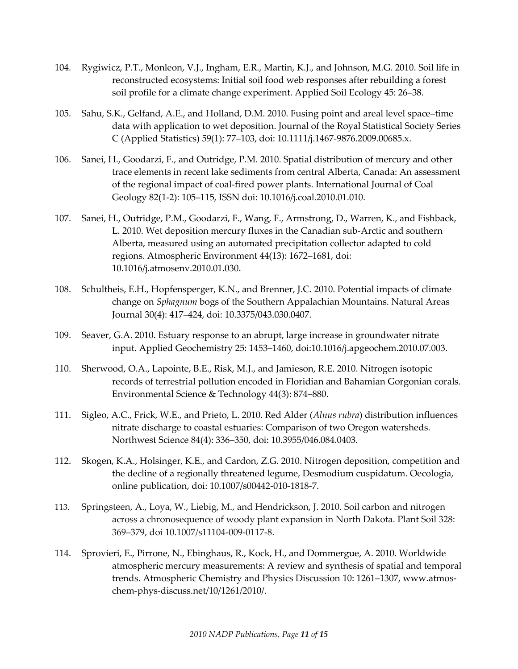- 104. Rygiwicz, P.T., Monleon, V.J., Ingham, E.R., Martin, K.J., and Johnson, M.G. 2010. Soil life in reconstructed ecosystems: Initial soil food web responses after rebuilding a forest soil profile for a climate change experiment. Applied Soil Ecology 45: 26–38.
- 105. Sahu, S.K., Gelfand, A.E., and Holland, D.M. 2010. Fusing point and areal level space–time data with application to wet deposition. Journal of the Royal Statistical Society Series C (Applied Statistics) 59(1): 77–103, doi: 10.1111/j.1467-9876.2009.00685.x.
- 106. Sanei, H., Goodarzi, F., and Outridge, P.M. 2010. Spatial distribution of mercury and other trace elements in recent lake sediments from central Alberta, Canada: An assessment of the regional impact of coal-fired power plants. International Journal of Coal Geology 82(1-2): 105–115, ISSN doi: 10.1016/j.coal.2010.01.010.
- 107. Sanei, H., Outridge, P.M., Goodarzi, F., Wang, F., Armstrong, D., Warren, K., and Fishback, L. 2010. Wet deposition mercury fluxes in the Canadian sub-Arctic and southern Alberta, measured using an automated precipitation collector adapted to cold regions. Atmospheric Environment 44(13): 1672–1681, doi: 10.1016/j.atmosenv.2010.01.030.
- 108. Schultheis, E.H., Hopfensperger, K.N., and Brenner, J.C. 2010. Potential impacts of climate change on *Sphagnum* bogs of the Southern Appalachian Mountains. Natural Areas Journal 30(4): 417–424, doi: 10.3375/043.030.0407.
- 109. Seaver, G.A. 2010. Estuary response to an abrupt, large increase in groundwater nitrate input. Applied Geochemistry 25: 1453–1460, doi:10.1016/j.apgeochem.2010.07.003.
- 110. Sherwood, O.A., Lapointe, B.E., Risk, M.J., and Jamieson, R.E. 2010. Nitrogen isotopic records of terrestrial pollution encoded in Floridian and Bahamian Gorgonian corals. Environmental Science & Technology 44(3): 874–880.
- 111. Sigleo, A.C., Frick, W.E., and Prieto, L. 2010. Red Alder (*Alnus rubra*) distribution influences nitrate discharge to coastal estuaries: Comparison of two Oregon watersheds. Northwest Science 84(4): 336–350, doi: 10.3955/046.084.0403.
- 112. Skogen, K.A., Holsinger, K.E., and Cardon, Z.G. 2010. Nitrogen deposition, competition and the decline of a regionally threatened legume, Desmodium cuspidatum. Oecologia, online publication, doi: 10.1007/s00442-010-1818-7.
- 113. Springsteen, A., Loya, W., Liebig, M., and Hendrickson, J. 2010. Soil carbon and nitrogen across a chronosequence of woody plant expansion in North Dakota. Plant Soil 328: 369–379, doi 10.1007/s11104-009-0117-8.
- 114. Sprovieri, E., Pirrone, N., Ebinghaus, R., Kock, H., and Dommergue, A. 2010. Worldwide atmospheric mercury measurements: A review and synthesis of spatial and temporal trends. Atmospheric Chemistry and Physics Discussion 10: 1261–1307, www.atmoschem-phys-discuss.net/10/1261/2010/.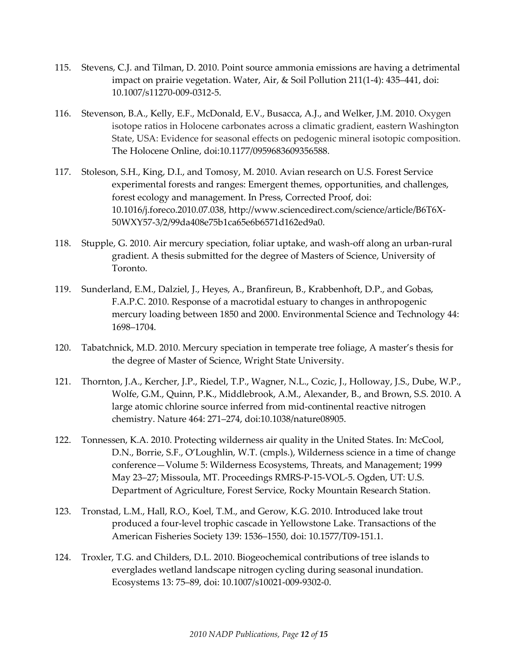- 115. Stevens, C.J. and Tilman, D. 2010. Point source ammonia emissions are having a detrimental impact on prairie vegetation. Water, Air, & Soil Pollution 211(1-4): 435–441, doi: 10.1007/s11270-009-0312-5.
- 116. Stevenson, B.A., Kelly, E.F., McDonald, E.V., Busacca, A.J., and Welker, J.M. 2010. Oxygen isotope ratios in Holocene carbonates across a climatic gradient, eastern Washington State, USA: Evidence for seasonal effects on pedogenic mineral isotopic composition. The Holocene Online, doi:10.1177/0959683609356588.
- 117. Stoleson, S.H., King, D.I., and Tomosy, M. 2010. Avian research on U.S. Forest Service experimental forests and ranges: Emergent themes, opportunities, and challenges, forest ecology and management. In Press, Corrected Proof, doi: 10.1016/j.foreco.2010.07.038, http://www.sciencedirect.com/science/article/B6T6X-50WXY57-3/2/99da408e75b1ca65e6b6571d162ed9a0.
- 118. Stupple, G. 2010. Air mercury speciation, foliar uptake, and wash-off along an urban-rural gradient. A thesis submitted for the degree of Masters of Science, University of Toronto.
- 119. Sunderland, E.M., Dalziel, J., Heyes, A., Branfireun, B., Krabbenhoft, D.P., and Gobas, F.A.P.C. 2010. Response of a macrotidal estuary to changes in anthropogenic mercury loading between 1850 and 2000. Environmental Science and Technology 44: 1698–1704.
- 120. Tabatchnick, M.D. 2010. Mercury speciation in temperate tree foliage, A master's thesis for the degree of Master of Science, Wright State University.
- 121. Thornton, J.A., Kercher, J.P., Riedel, T.P., Wagner, N.L., Cozic, J., Holloway, J.S., Dube, W.P., Wolfe, G.M., Quinn, P.K., Middlebrook, A.M., Alexander, B., and Brown, S.S. 2010. A large atomic chlorine source inferred from mid-continental reactive nitrogen chemistry. Nature 464: 271–274, doi:10.1038/nature08905.
- 122. Tonnessen, K.A. 2010. Protecting wilderness air quality in the United States. In: McCool, D.N., Borrie, S.F., O'Loughlin, W.T. (cmpls.), Wilderness science in a time of change conference—Volume 5: Wilderness Ecosystems, Threats, and Management; 1999 May 23–27; Missoula, MT. Proceedings RMRS-P-15-VOL-5. Ogden, UT: U.S. Department of Agriculture, Forest Service, Rocky Mountain Research Station.
- 123. Tronstad, L.M., Hall, R.O., Koel, T.M., and Gerow, K.G. 2010. Introduced lake trout produced a four-level trophic cascade in Yellowstone Lake. Transactions of the American Fisheries Society 139: 1536–1550, doi: 10.1577/T09-151.1.
- 124. Troxler, T.G. and Childers, D.L. 2010. Biogeochemical contributions of tree islands to everglades wetland landscape nitrogen cycling during seasonal inundation. Ecosystems 13: 75–89, doi: 10.1007/s10021-009-9302-0.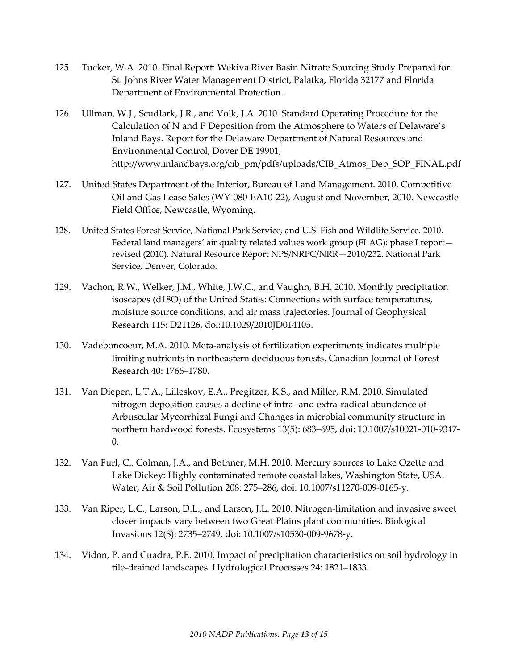- 125. Tucker, W.A. 2010. Final Report: Wekiva River Basin Nitrate Sourcing Study Prepared for: St. Johns River Water Management District, Palatka, Florida 32177 and Florida Department of Environmental Protection.
- 126. Ullman, W.J., Scudlark, J.R., and Volk, J.A. 2010. Standard Operating Procedure for the Calculation of N and P Deposition from the Atmosphere to Waters of Delaware's Inland Bays. Report for the Delaware Department of Natural Resources and Environmental Control, Dover DE 19901, http://www.inlandbays.org/cib\_pm/pdfs/uploads/CIB\_Atmos\_Dep\_SOP\_FINAL.pdf
- 127. United States Department of the Interior, Bureau of Land Management. 2010. Competitive Oil and Gas Lease Sales (WY-080-EA10-22), August and November, 2010. Newcastle Field Office, Newcastle, Wyoming.
- 128. United States Forest Service, National Park Service, and U.S. Fish and Wildlife Service. 2010. Federal land managers' air quality related values work group (FLAG): phase I report revised (2010). Natural Resource Report NPS/NRPC/NRR—2010/232. National Park Service, Denver, Colorado.
- 129. Vachon, R.W., Welker, J.M., White, J.W.C., and Vaughn, B.H. 2010. Monthly precipitation isoscapes (d18O) of the United States: Connections with surface temperatures, moisture source conditions, and air mass trajectories. Journal of Geophysical Research 115: D21126, doi:10.1029/2010JD014105.
- 130. Vadeboncoeur, M.A. 2010. Meta-analysis of fertilization experiments indicates multiple limiting nutrients in northeastern deciduous forests. [Canadian Journal of Forest](http://ilurbana.library.ingentaconnect.com/content/nrc/cjfr;jsessionid=c7yncodtf10h.alexandra)  [Research](http://ilurbana.library.ingentaconnect.com/content/nrc/cjfr;jsessionid=c7yncodtf10h.alexandra) 40: 1766–1780.
- 131. Van Diepen, L.T.A., Lilleskov, E.A., Pregitzer, K.S., and Miller, R.M. 2010. Simulated nitrogen deposition causes a decline of intra- and extra-radical abundance of Arbuscular Mycorrhizal Fungi and Changes in microbial community structure in northern hardwood forests. Ecosystems 13(5): 683–695, doi: 10.1007/s10021-010-9347- 0.
- 132. Van Furl, C., Colman, J.A., and Bothner, M.H. 2010. Mercury sources to Lake Ozette and Lake Dickey: Highly contaminated remote coastal lakes, Washington State, USA. Water, Air & Soil Pollution 208: 275–286, doi: 10.1007/s11270-009-0165-y.
- 133. Van Riper, L.C., Larson, D.L., and Larson, J.L. 2010. Nitrogen-limitation and invasive sweet clover impacts vary between two Great Plains plant communities. Biological Invasions 12(8): 2735–2749, doi: 10.1007/s10530-009-9678-y.
- 134. Vidon, P. and Cuadra, P.E. 2010. Impact of precipitation characteristics on soil hydrology in tile-drained landscapes. Hydrological Processes 24: 1821–1833.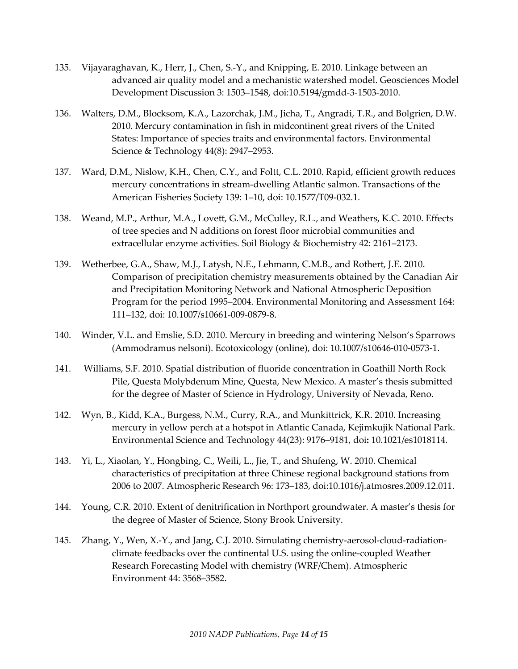- 135. Vijayaraghavan, K., Herr, J., Chen, S.-Y., and Knipping, E. 2010. Linkage between an advanced air quality model and a mechanistic watershed model. Geosciences Model Development Discussion 3: 1503–1548, doi:10.5194/gmdd-3-1503-2010.
- 136. Walters, D.M., Blocksom, K.A., Lazorchak, J.M., Jicha, T., Angradi, T.R., and Bolgrien, D.W. 2010. Mercury contamination in fish in midcontinent great rivers of the United States: Importance of species traits and environmental factors. Environmental Science & Technology 44(8): 2947–2953.
- 137. Ward, D.M., Nislow, K.H., Chen, C.Y., and Foltt, C.L. 2010. Rapid, efficient growth reduces mercury concentrations in stream-dwelling Atlantic salmon. Transactions of the American Fisheries Society 139: 1–10, doi: 10.1577/T09-032.1.
- 138. Weand, M.P., Arthur, M.A., Lovett, G.M., McCulley, R.L., and Weathers, K.C. 2010. Effects of tree species and N additions on forest floor microbial communities and extracellular enzyme activities. Soil Biology & Biochemistry 42: 2161–2173.
- 139. Wetherbee, G.A., Shaw, M.J., Latysh, N.E., Lehmann, C.M.B., and Rothert, J.E. 2010. Comparison of precipitation chemistry measurements obtained by the Canadian Air and Precipitation Monitoring Network and National Atmospheric Deposition Program for the period 1995–2004. Environmental Monitoring and Assessment 164: 111–132, doi: 10.1007/s10661-009-0879-8.
- 140. Winder, V.L. and Emslie, S.D. 2010. Mercury in breeding and wintering Nelson's Sparrows (Ammodramus nelsoni). Ecotoxicology (online), doi: 10.1007/s10646-010-0573-1.
- 141. Williams, S.F. 2010. Spatial distribution of fluoride concentration in Goathill North Rock Pile, Questa Molybdenum Mine, Questa, New Mexico. A master's thesis submitted for the degree of Master of Science in Hydrology, University of Nevada, Reno.
- 142. Wyn, B., Kidd, K.A., Burgess, N.M., Curry, R.A., and Munkittrick, K.R. 2010. Increasing mercury in yellow perch at a hotspot in Atlantic Canada, Kejimkujik National Park. Environmental Science and Technology 44(23): 9176–9181, doi**:** 10.1021/es1018114*.*
- 143. Yi, L., Xiaolan, Y., Hongbing, C., Weili, L., Jie, T., and Shufeng, W. 2010. Chemical characteristics of precipitation at three Chinese regional background stations from 2006 to 2007. Atmospheric Research 96: 173–183, doi:10.1016/j.atmosres.2009.12.011.
- 144. Young, C.R. 2010. Extent of denitrification in Northport groundwater. A master's thesis for the degree of Master of Science, Stony Brook University.
- 145. Zhang, Y., Wen, X.-Y., and Jang, C.J. 2010. Simulating chemistry-aerosol-cloud-radiationclimate feedbacks over the continental U.S. using the online-coupled Weather Research Forecasting Model with chemistry (WRF/Chem). Atmospheric Environment 44: 3568–3582.